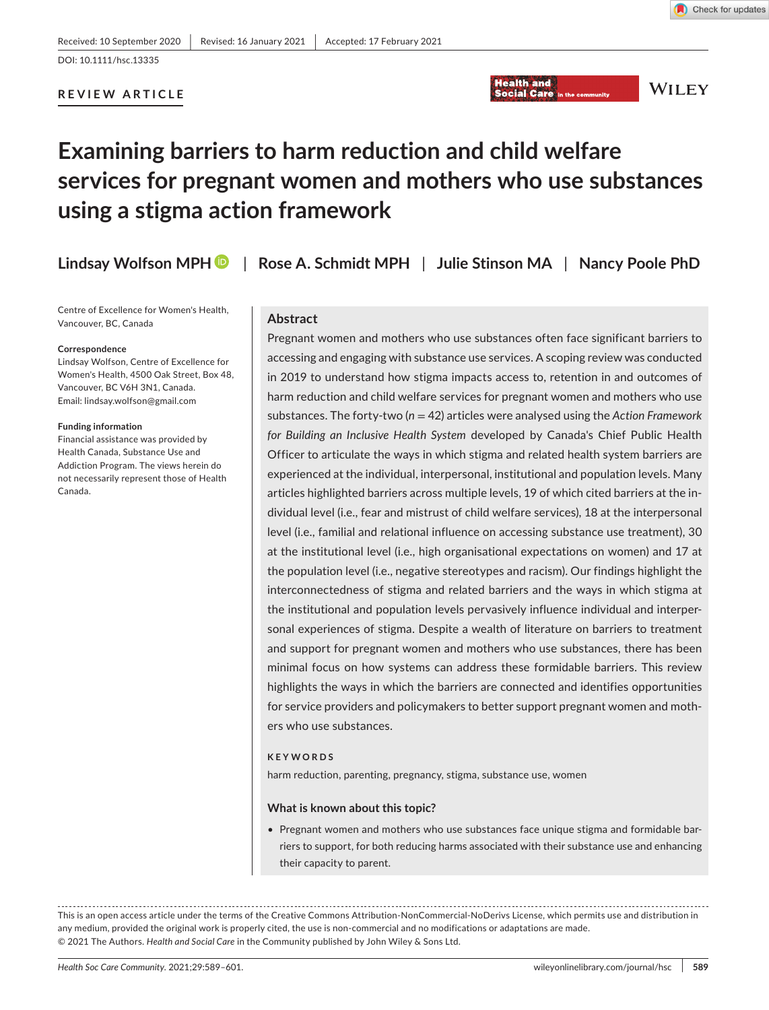Check for updates

# **REVIEW ARTICLE**



**WILEY** 

# **Examining barriers to harm reduction and child welfare services for pregnant women and mothers who use substances using a stigma action framework**

**Lindsay Wolfson MP[H](https://orcid.org/0000-0002-4584-6494)** | **Rose A. Schmidt MPH** | **Julie Stinson MA** | **Nancy Poole PhD**

Centre of Excellence for Women's Health, Vancouver, BC, Canada

#### **Correspondence**

Lindsay Wolfson, Centre of Excellence for Women's Health, 4500 Oak Street, Box 48 Vancouver, BC V6H 3N1, Canada. Email: [lindsay.wolfson@gmail.com](mailto:lindsay.wolfson@gmail.com)

#### **Funding information**

Financial assistance was provided by Health Canada, Substance Use and Addiction Program. The views herein do not necessarily represent those of Health Canada.

### **Abstract**

Pregnant women and mothers who use substances often face significant barriers to accessing and engaging with substance use services. A scoping review was conducted in 2019 to understand how stigma impacts access to, retention in and outcomes of harm reduction and child welfare services for pregnant women and mothers who use substances. The forty-two (*n* = 42) articles were analysed using the *Action Framework for Building an Inclusive Health System* developed by Canada's Chief Public Health Officer to articulate the ways in which stigma and related health system barriers are experienced at the individual, interpersonal, institutional and population levels. Many articles highlighted barriers across multiple levels, 19 of which cited barriers at the individual level (i.e., fear and mistrust of child welfare services), 18 at the interpersonal level (i.e., familial and relational influence on accessing substance use treatment), 30 at the institutional level (i.e., high organisational expectations on women) and 17 at the population level (i.e., negative stereotypes and racism). Our findings highlight the interconnectedness of stigma and related barriers and the ways in which stigma at the institutional and population levels pervasively influence individual and interpersonal experiences of stigma. Despite a wealth of literature on barriers to treatment and support for pregnant women and mothers who use substances, there has been minimal focus on how systems can address these formidable barriers. This review highlights the ways in which the barriers are connected and identifies opportunities for service providers and policymakers to better support pregnant women and mothers who use substances.

### **KEYWORDS**

harm reduction, parenting, pregnancy, stigma, substance use, women

#### **What is known about this topic?**

• Pregnant women and mothers who use substances face unique stigma and formidable barriers to support, for both reducing harms associated with their substance use and enhancing their capacity to parent.

This is an open access article under the terms of the [Creative Commons Attribution-NonCommercial-NoDerivs](http://creativecommons.org/licenses/by-nc-nd/4.0/) License, which permits use and distribution in any medium, provided the original work is properly cited, the use is non-commercial and no modifications or adaptations are made. © 2021 The Authors. *Health and Social Care* in the Community published by John Wiley & Sons Ltd.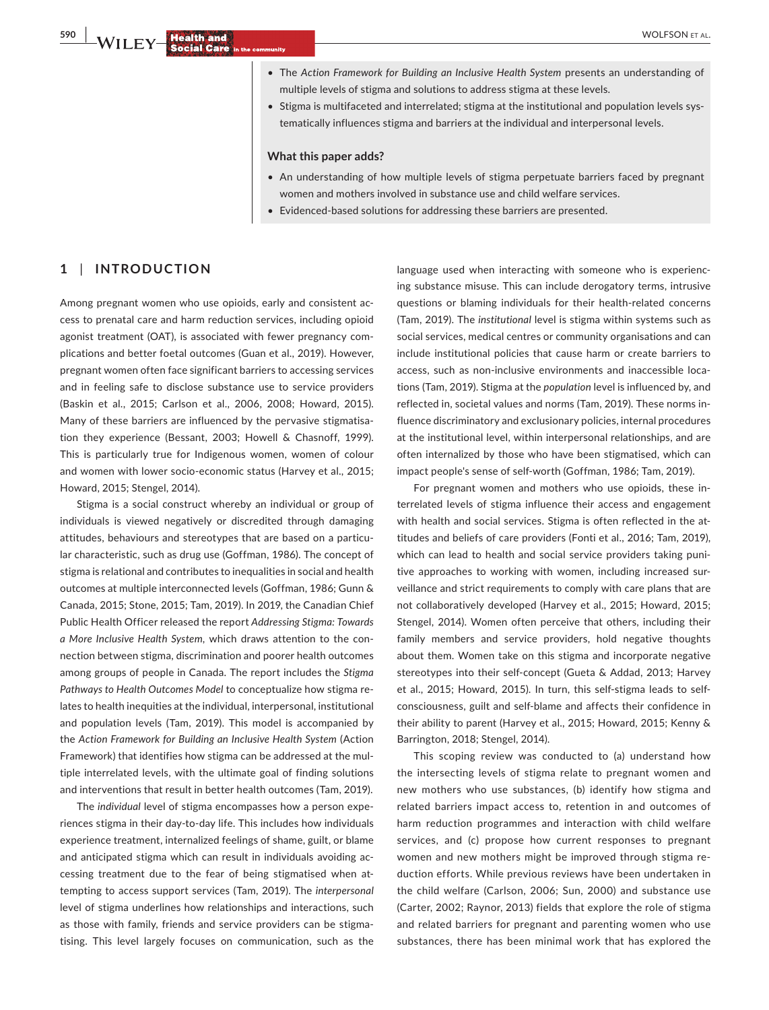- The *Action Framework for Building an Inclusive Health System* presents an understanding of multiple levels of stigma and solutions to address stigma at these levels.
- Stigma is multifaceted and interrelated; stigma at the institutional and population levels systematically influences stigma and barriers at the individual and interpersonal levels.

#### **What this paper adds?**

- An understanding of how multiple levels of stigma perpetuate barriers faced by pregnant women and mothers involved in substance use and child welfare services.
- Evidenced-based solutions for addressing these barriers are presented.

#### **1** | **INTRODUCTION**

Among pregnant women who use opioids, early and consistent access to prenatal care and harm reduction services, including opioid agonist treatment (OAT), is associated with fewer pregnancy complications and better foetal outcomes (Guan et al., 2019). However, pregnant women often face significant barriers to accessing services and in feeling safe to disclose substance use to service providers (Baskin et al., 2015; Carlson et al., 2006, 2008; Howard, 2015). Many of these barriers are influenced by the pervasive stigmatisation they experience (Bessant, 2003; Howell & Chasnoff, 1999). This is particularly true for Indigenous women, women of colour and women with lower socio-economic status (Harvey et al., 2015; Howard, 2015; Stengel, 2014).

Stigma is a social construct whereby an individual or group of individuals is viewed negatively or discredited through damaging attitudes, behaviours and stereotypes that are based on a particular characteristic, such as drug use (Goffman, 1986). The concept of stigma is relational and contributes to inequalities in social and health outcomes at multiple interconnected levels (Goffman, 1986; Gunn & Canada, 2015; Stone, 2015; Tam, 2019). In 2019, the Canadian Chief Public Health Officer released the report *Addressing Stigma: Towards a More Inclusive Health System*, which draws attention to the connection between stigma, discrimination and poorer health outcomes among groups of people in Canada. The report includes the *Stigma Pathways to Health Outcomes Model* to conceptualize how stigma relates to health inequities at the individual, interpersonal, institutional and population levels (Tam, 2019). This model is accompanied by the *Action Framework for Building an Inclusive Health System* (Action Framework) that identifies how stigma can be addressed at the multiple interrelated levels, with the ultimate goal of finding solutions and interventions that result in better health outcomes (Tam, 2019).

The *individual* level of stigma encompasses how a person experiences stigma in their day-to-day life. This includes how individuals experience treatment, internalized feelings of shame, guilt, or blame and anticipated stigma which can result in individuals avoiding accessing treatment due to the fear of being stigmatised when attempting to access support services (Tam, 2019). The *interpersonal* level of stigma underlines how relationships and interactions, such as those with family, friends and service providers can be stigmatising. This level largely focuses on communication, such as the

language used when interacting with someone who is experiencing substance misuse. This can include derogatory terms, intrusive questions or blaming individuals for their health-related concerns (Tam, 2019). The *institutional* level is stigma within systems such as social services, medical centres or community organisations and can include institutional policies that cause harm or create barriers to access, such as non-inclusive environments and inaccessible locations (Tam, 2019). Stigma at the *population* level is influenced by, and reflected in, societal values and norms (Tam, 2019). These norms influence discriminatory and exclusionary policies, internal procedures at the institutional level, within interpersonal relationships, and are often internalized by those who have been stigmatised, which can impact people's sense of self-worth (Goffman, 1986; Tam, 2019).

For pregnant women and mothers who use opioids, these interrelated levels of stigma influence their access and engagement with health and social services. Stigma is often reflected in the attitudes and beliefs of care providers (Fonti et al., 2016; Tam, 2019), which can lead to health and social service providers taking punitive approaches to working with women, including increased surveillance and strict requirements to comply with care plans that are not collaboratively developed (Harvey et al., 2015; Howard, 2015; Stengel, 2014). Women often perceive that others, including their family members and service providers, hold negative thoughts about them. Women take on this stigma and incorporate negative stereotypes into their self-concept (Gueta & Addad, 2013; Harvey et al., 2015; Howard, 2015). In turn, this self-stigma leads to selfconsciousness, guilt and self-blame and affects their confidence in their ability to parent (Harvey et al., 2015; Howard, 2015; Kenny & Barrington, 2018; Stengel, 2014).

This scoping review was conducted to (a) understand how the intersecting levels of stigma relate to pregnant women and new mothers who use substances, (b) identify how stigma and related barriers impact access to, retention in and outcomes of harm reduction programmes and interaction with child welfare services, and (c) propose how current responses to pregnant women and new mothers might be improved through stigma reduction efforts. While previous reviews have been undertaken in the child welfare (Carlson, 2006; Sun, 2000) and substance use (Carter, 2002; Raynor, 2013) fields that explore the role of stigma and related barriers for pregnant and parenting women who use substances, there has been minimal work that has explored the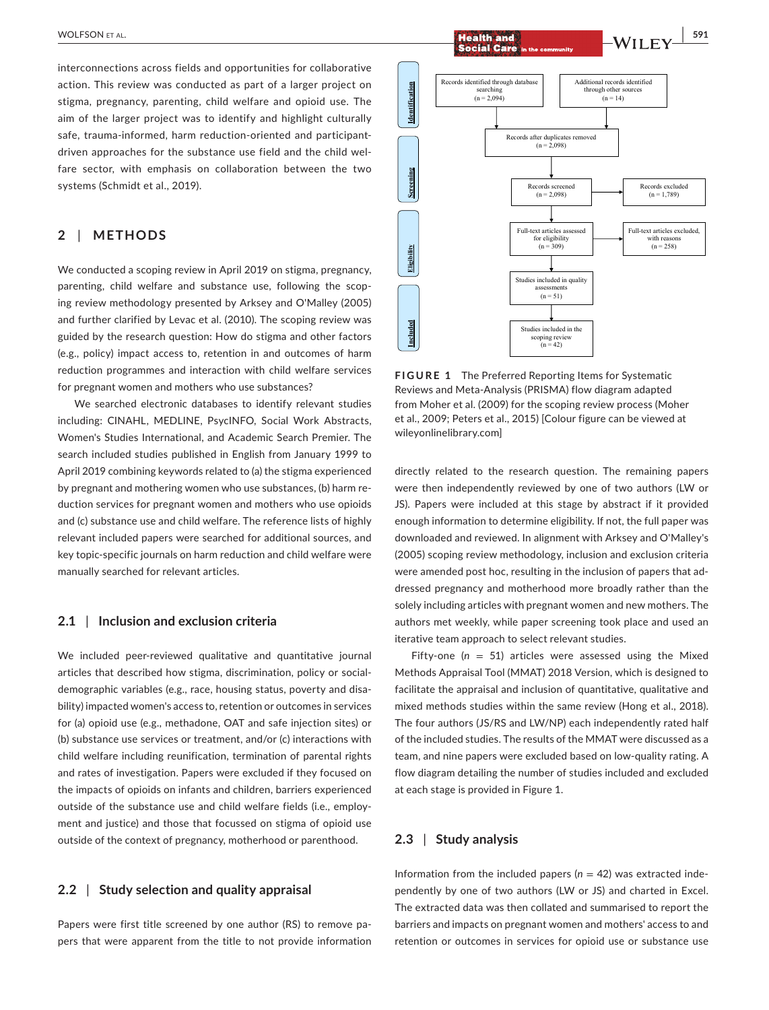interconnections across fields and opportunities for collaborative action. This review was conducted as part of a larger project on stigma, pregnancy, parenting, child welfare and opioid use. The aim of the larger project was to identify and highlight culturally safe, trauma-informed, harm reduction-oriented and participantdriven approaches for the substance use field and the child welfare sector, with emphasis on collaboration between the two systems (Schmidt et al., 2019).

### **2** | **METHODS**

We conducted a scoping review in April 2019 on stigma, pregnancy, parenting, child welfare and substance use, following the scoping review methodology presented by Arksey and O'Malley (2005) and further clarified by Levac et al. (2010). The scoping review was guided by the research question: How do stigma and other factors (e.g., policy) impact access to, retention in and outcomes of harm reduction programmes and interaction with child welfare services for pregnant women and mothers who use substances?

We searched electronic databases to identify relevant studies including: CINAHL, MEDLINE, PsycINFO, Social Work Abstracts, Women's Studies International, and Academic Search Premier. The search included studies published in English from January 1999 to April 2019 combining keywords related to (a) the stigma experienced by pregnant and mothering women who use substances, (b) harm reduction services for pregnant women and mothers who use opioids and (c) substance use and child welfare. The reference lists of highly relevant included papers were searched for additional sources, and key topic-specific journals on harm reduction and child welfare were manually searched for relevant articles.

### **2.1** | **Inclusion and exclusion criteria**

We included peer-reviewed qualitative and quantitative journal articles that described how stigma, discrimination, policy or socialdemographic variables (e.g., race, housing status, poverty and disability) impacted women's access to, retention or outcomes in services for (a) opioid use (e.g., methadone, OAT and safe injection sites) or (b) substance use services or treatment, and/or (c) interactions with child welfare including reunification, termination of parental rights and rates of investigation. Papers were excluded if they focused on the impacts of opioids on infants and children, barriers experienced outside of the substance use and child welfare fields (i.e., employment and justice) and those that focussed on stigma of opioid use outside of the context of pregnancy, motherhood or parenthood.

### **2.2** | **Study selection and quality appraisal**

Papers were first title screened by one author (RS) to remove papers that were apparent from the title to not provide information

 $\frac{1}{2}$  **Health and**<br> **Social Care** in the community<br> **Social Care** in the community



**FIGURE 1** The Preferred Reporting Items for Systematic Reviews and Meta-Analysis (PRISMA) flow diagram adapted from Moher et al. (2009) for the scoping review process (Moher et al., 2009; Peters et al., 2015) [Colour figure can be viewed at [wileyonlinelibrary.com\]](www.wileyonlinelibrary.com)

directly related to the research question. The remaining papers were then independently reviewed by one of two authors (LW or JS). Papers were included at this stage by abstract if it provided enough information to determine eligibility. If not, the full paper was downloaded and reviewed. In alignment with Arksey and O'Malley's (2005) scoping review methodology, inclusion and exclusion criteria were amended post hoc, resulting in the inclusion of papers that addressed pregnancy and motherhood more broadly rather than the solely including articles with pregnant women and new mothers. The authors met weekly, while paper screening took place and used an iterative team approach to select relevant studies.

Fifty-one  $(n = 51)$  articles were assessed using the Mixed Methods Appraisal Tool (MMAT) 2018 Version, which is designed to facilitate the appraisal and inclusion of quantitative, qualitative and mixed methods studies within the same review (Hong et al., 2018). The four authors (JS/RS and LW/NP) each independently rated half of the included studies. The results of the MMAT were discussed as a team, and nine papers were excluded based on low-quality rating. A flow diagram detailing the number of studies included and excluded at each stage is provided in Figure 1.

### **2.3** | **Study analysis**

Information from the included papers (*n* = 42) was extracted independently by one of two authors (LW or JS) and charted in Excel. The extracted data was then collated and summarised to report the barriers and impacts on pregnant women and mothers' access to and retention or outcomes in services for opioid use or substance use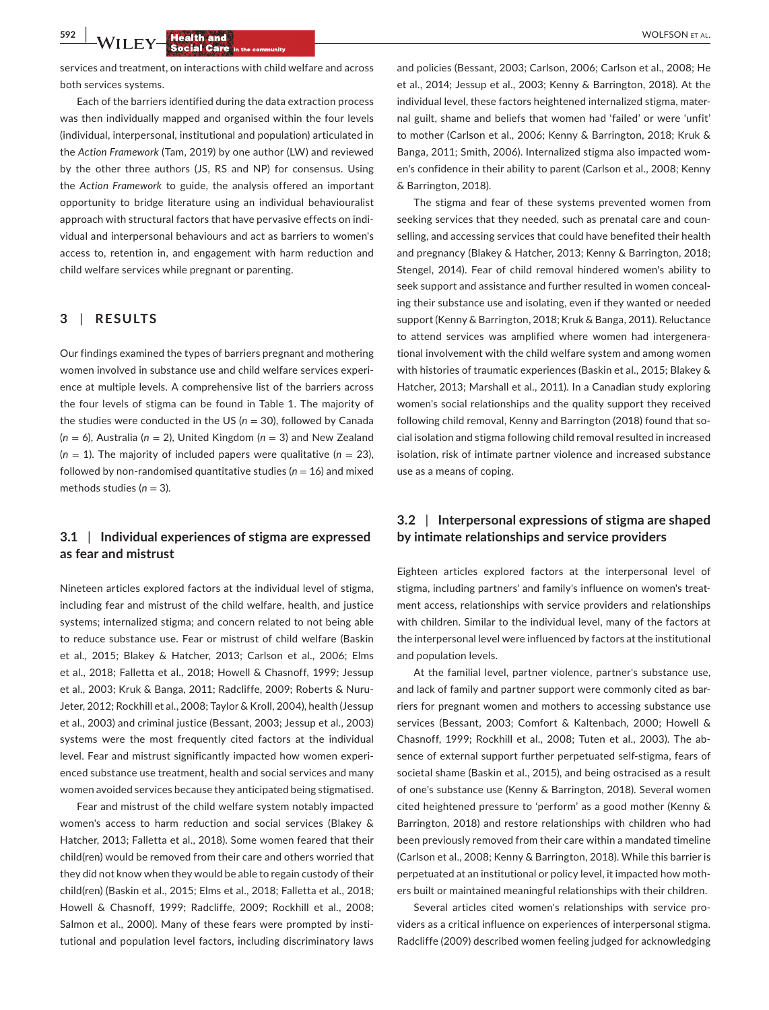services and treatment, on interactions with child welfare and across both services systems.

Each of the barriers identified during the data extraction process was then individually mapped and organised within the four levels (individual, interpersonal, institutional and population) articulated in the *Action Framework* (Tam, 2019) by one author (LW) and reviewed by the other three authors (JS, RS and NP) for consensus. Using the *Action Framework* to guide, the analysis offered an important opportunity to bridge literature using an individual behaviouralist approach with structural factors that have pervasive effects on individual and interpersonal behaviours and act as barriers to women's access to, retention in, and engagement with harm reduction and child welfare services while pregnant or parenting.

### **3** | **RESULTS**

Our findings examined the types of barriers pregnant and mothering women involved in substance use and child welfare services experience at multiple levels. A comprehensive list of the barriers across the four levels of stigma can be found in Table 1. The majority of the studies were conducted in the US ( $n = 30$ ), followed by Canada  $(n = 6)$ , Australia ( $n = 2$ ), United Kingdom ( $n = 3$ ) and New Zealand  $(n = 1)$ . The majority of included papers were qualitative  $(n = 23)$ , followed by non-randomised quantitative studies  $(n = 16)$  and mixed methods studies  $(n = 3)$ .

# **3.1** | **Individual experiences of stigma are expressed as fear and mistrust**

Nineteen articles explored factors at the individual level of stigma, including fear and mistrust of the child welfare, health, and justice systems; internalized stigma; and concern related to not being able to reduce substance use. Fear or mistrust of child welfare (Baskin et al., 2015; Blakey & Hatcher, 2013; Carlson et al., 2006; Elms et al., 2018; Falletta et al., 2018; Howell & Chasnoff, 1999; Jessup et al., 2003; Kruk & Banga, 2011; Radcliffe, 2009; Roberts & Nuru-Jeter, 2012; Rockhill et al., 2008; Taylor & Kroll, 2004), health (Jessup et al., 2003) and criminal justice (Bessant, 2003; Jessup et al., 2003) systems were the most frequently cited factors at the individual level. Fear and mistrust significantly impacted how women experienced substance use treatment, health and social services and many women avoided services because they anticipated being stigmatised.

Fear and mistrust of the child welfare system notably impacted women's access to harm reduction and social services (Blakey & Hatcher, 2013; Falletta et al., 2018). Some women feared that their child(ren) would be removed from their care and others worried that they did not know when they would be able to regain custody of their child(ren) (Baskin et al., 2015; Elms et al., 2018; Falletta et al., 2018; Howell & Chasnoff, 1999; Radcliffe, 2009; Rockhill et al., 2008; Salmon et al., 2000). Many of these fears were prompted by institutional and population level factors, including discriminatory laws

and policies (Bessant, 2003; Carlson, 2006; Carlson et al., 2008; He et al., 2014; Jessup et al., 2003; Kenny & Barrington, 2018). At the individual level, these factors heightened internalized stigma, maternal guilt, shame and beliefs that women had 'failed' or were 'unfit' to mother (Carlson et al., 2006; Kenny & Barrington, 2018; Kruk & Banga, 2011; Smith, 2006). Internalized stigma also impacted women's confidence in their ability to parent (Carlson et al., 2008; Kenny & Barrington, 2018).

The stigma and fear of these systems prevented women from seeking services that they needed, such as prenatal care and counselling, and accessing services that could have benefited their health and pregnancy (Blakey & Hatcher, 2013; Kenny & Barrington, 2018; Stengel, 2014). Fear of child removal hindered women's ability to seek support and assistance and further resulted in women concealing their substance use and isolating, even if they wanted or needed support (Kenny & Barrington, 2018; Kruk & Banga, 2011). Reluctance to attend services was amplified where women had intergenerational involvement with the child welfare system and among women with histories of traumatic experiences (Baskin et al., 2015; Blakey & Hatcher, 2013; Marshall et al., 2011). In a Canadian study exploring women's social relationships and the quality support they received following child removal, Kenny and Barrington (2018) found that social isolation and stigma following child removal resulted in increased isolation, risk of intimate partner violence and increased substance use as a means of coping.

# **3.2** | **Interpersonal expressions of stigma are shaped by intimate relationships and service providers**

Eighteen articles explored factors at the interpersonal level of stigma, including partners' and family's influence on women's treatment access, relationships with service providers and relationships with children. Similar to the individual level, many of the factors at the interpersonal level were influenced by factors at the institutional and population levels.

At the familial level, partner violence, partner's substance use, and lack of family and partner support were commonly cited as barriers for pregnant women and mothers to accessing substance use services (Bessant, 2003; Comfort & Kaltenbach, 2000; Howell & Chasnoff, 1999; Rockhill et al., 2008; Tuten et al., 2003). The absence of external support further perpetuated self-stigma, fears of societal shame (Baskin et al., 2015), and being ostracised as a result of one's substance use (Kenny & Barrington, 2018). Several women cited heightened pressure to 'perform' as a good mother (Kenny & Barrington, 2018) and restore relationships with children who had been previously removed from their care within a mandated timeline (Carlson et al., 2008; Kenny & Barrington, 2018). While this barrier is perpetuated at an institutional or policy level, it impacted how mothers built or maintained meaningful relationships with their children.

Several articles cited women's relationships with service providers as a critical influence on experiences of interpersonal stigma. Radcliffe (2009) described women feeling judged for acknowledging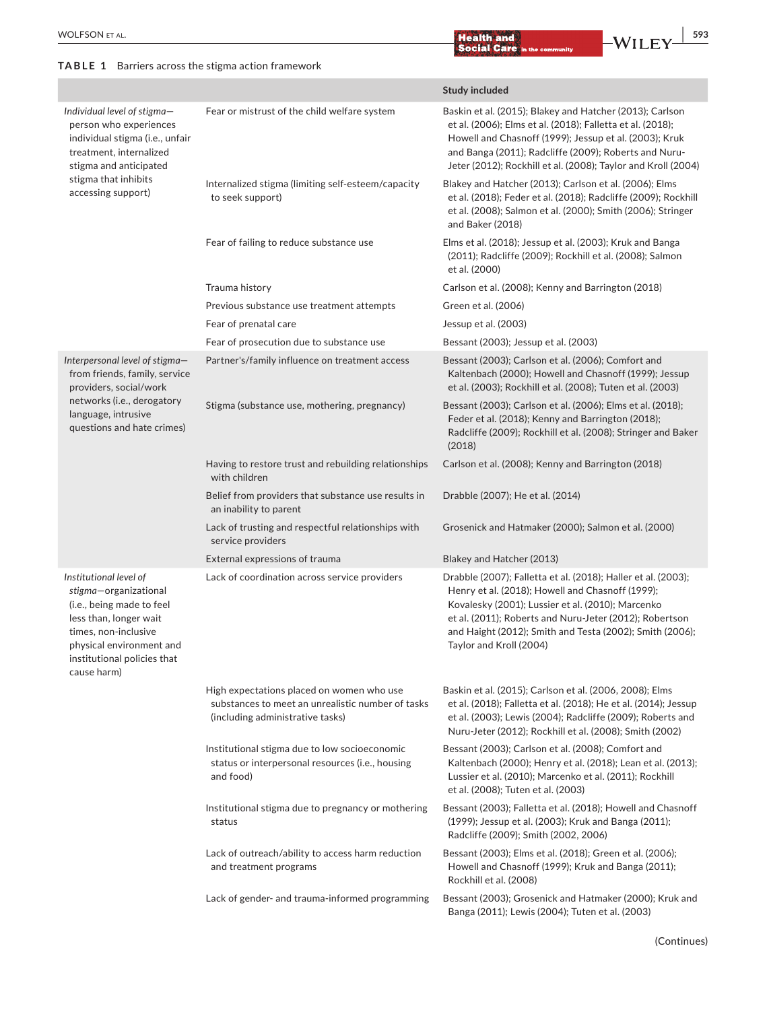### **TABLE 1** Barriers across the stigma action framework

 **<u>Health and</u> <b>Health and B** and **EXECUTE CONTENT**  $\frac{1}{293}$ 

|                                                                                                                                                                                                          |                                                                                                                                    | <b>Study included</b>                                                                                                                                                                                                                                                                                                    |
|----------------------------------------------------------------------------------------------------------------------------------------------------------------------------------------------------------|------------------------------------------------------------------------------------------------------------------------------------|--------------------------------------------------------------------------------------------------------------------------------------------------------------------------------------------------------------------------------------------------------------------------------------------------------------------------|
| Individual level of stigma-<br>person who experiences<br>individual stigma (i.e., unfair<br>treatment, internalized<br>stigma and anticipated<br>stigma that inhibits<br>accessing support)              | Fear or mistrust of the child welfare system                                                                                       | Baskin et al. (2015); Blakey and Hatcher (2013); Carlson<br>et al. (2006); Elms et al. (2018); Falletta et al. (2018);<br>Howell and Chasnoff (1999); Jessup et al. (2003); Kruk<br>and Banga (2011); Radcliffe (2009); Roberts and Nuru-<br>Jeter (2012); Rockhill et al. (2008); Taylor and Kroll (2004)               |
|                                                                                                                                                                                                          | Internalized stigma (limiting self-esteem/capacity<br>to seek support)                                                             | Blakey and Hatcher (2013); Carlson et al. (2006); Elms<br>et al. (2018); Feder et al. (2018); Radcliffe (2009); Rockhill<br>et al. (2008); Salmon et al. (2000); Smith (2006); Stringer<br>and Baker (2018)                                                                                                              |
|                                                                                                                                                                                                          | Fear of failing to reduce substance use                                                                                            | Elms et al. (2018); Jessup et al. (2003); Kruk and Banga<br>(2011); Radcliffe (2009); Rockhill et al. (2008); Salmon<br>et al. (2000)                                                                                                                                                                                    |
|                                                                                                                                                                                                          | Trauma history                                                                                                                     | Carlson et al. (2008); Kenny and Barrington (2018)                                                                                                                                                                                                                                                                       |
|                                                                                                                                                                                                          | Previous substance use treatment attempts                                                                                          | Green et al. (2006)                                                                                                                                                                                                                                                                                                      |
|                                                                                                                                                                                                          | Fear of prenatal care                                                                                                              | Jessup et al. (2003)                                                                                                                                                                                                                                                                                                     |
|                                                                                                                                                                                                          | Fear of prosecution due to substance use                                                                                           | Bessant (2003); Jessup et al. (2003)                                                                                                                                                                                                                                                                                     |
| Interpersonal level of stigma-<br>from friends, family, service<br>providers, social/work<br>networks (i.e., derogatory<br>language, intrusive<br>questions and hate crimes)                             | Partner's/family influence on treatment access                                                                                     | Bessant (2003); Carlson et al. (2006); Comfort and<br>Kaltenbach (2000); Howell and Chasnoff (1999); Jessup<br>et al. (2003); Rockhill et al. (2008); Tuten et al. (2003)                                                                                                                                                |
|                                                                                                                                                                                                          | Stigma (substance use, mothering, pregnancy)                                                                                       | Bessant (2003); Carlson et al. (2006); Elms et al. (2018);<br>Feder et al. (2018); Kenny and Barrington (2018);<br>Radcliffe (2009); Rockhill et al. (2008); Stringer and Baker<br>(2018)                                                                                                                                |
|                                                                                                                                                                                                          | Having to restore trust and rebuilding relationships<br>with children                                                              | Carlson et al. (2008); Kenny and Barrington (2018)                                                                                                                                                                                                                                                                       |
|                                                                                                                                                                                                          | Belief from providers that substance use results in<br>an inability to parent                                                      | Drabble (2007); He et al. (2014)                                                                                                                                                                                                                                                                                         |
|                                                                                                                                                                                                          | Lack of trusting and respectful relationships with<br>service providers                                                            | Grosenick and Hatmaker (2000); Salmon et al. (2000)                                                                                                                                                                                                                                                                      |
|                                                                                                                                                                                                          | External expressions of trauma                                                                                                     | Blakey and Hatcher (2013)                                                                                                                                                                                                                                                                                                |
| Institutional level of<br>stigma-organizational<br>(i.e., being made to feel<br>less than, longer wait<br>times, non-inclusive<br>physical environment and<br>institutional policies that<br>cause harm) | Lack of coordination across service providers                                                                                      | Drabble (2007); Falletta et al. (2018); Haller et al. (2003);<br>Henry et al. (2018); Howell and Chasnoff (1999);<br>Kovalesky (2001); Lussier et al. (2010); Marcenko<br>et al. (2011); Roberts and Nuru-Jeter (2012); Robertson<br>and Haight (2012); Smith and Testa (2002); Smith (2006);<br>Taylor and Kroll (2004) |
|                                                                                                                                                                                                          | High expectations placed on women who use<br>substances to meet an unrealistic number of tasks<br>(including administrative tasks) | Baskin et al. (2015); Carlson et al. (2006, 2008); Elms<br>et al. (2018); Falletta et al. (2018); He et al. (2014); Jessup<br>et al. (2003); Lewis (2004); Radcliffe (2009); Roberts and<br>Nuru-Jeter (2012); Rockhill et al. (2008); Smith (2002)                                                                      |
|                                                                                                                                                                                                          | Institutional stigma due to low socioeconomic<br>status or interpersonal resources (i.e., housing<br>and food)                     | Bessant (2003); Carlson et al. (2008); Comfort and<br>Kaltenbach (2000); Henry et al. (2018); Lean et al. (2013);<br>Lussier et al. (2010); Marcenko et al. (2011); Rockhill<br>et al. (2008); Tuten et al. (2003)                                                                                                       |
|                                                                                                                                                                                                          | Institutional stigma due to pregnancy or mothering<br>status                                                                       | Bessant (2003); Falletta et al. (2018); Howell and Chasnoff<br>(1999); Jessup et al. (2003); Kruk and Banga (2011);<br>Radcliffe (2009); Smith (2002, 2006)                                                                                                                                                              |
|                                                                                                                                                                                                          | Lack of outreach/ability to access harm reduction<br>and treatment programs                                                        | Bessant (2003); Elms et al. (2018); Green et al. (2006);<br>Howell and Chasnoff (1999); Kruk and Banga (2011);<br>Rockhill et al. (2008)                                                                                                                                                                                 |
|                                                                                                                                                                                                          | Lack of gender- and trauma-informed programming                                                                                    | Bessant (2003); Grosenick and Hatmaker (2000); Kruk and<br>Banga (2011); Lewis (2004); Tuten et al. (2003)                                                                                                                                                                                                               |

(Continues)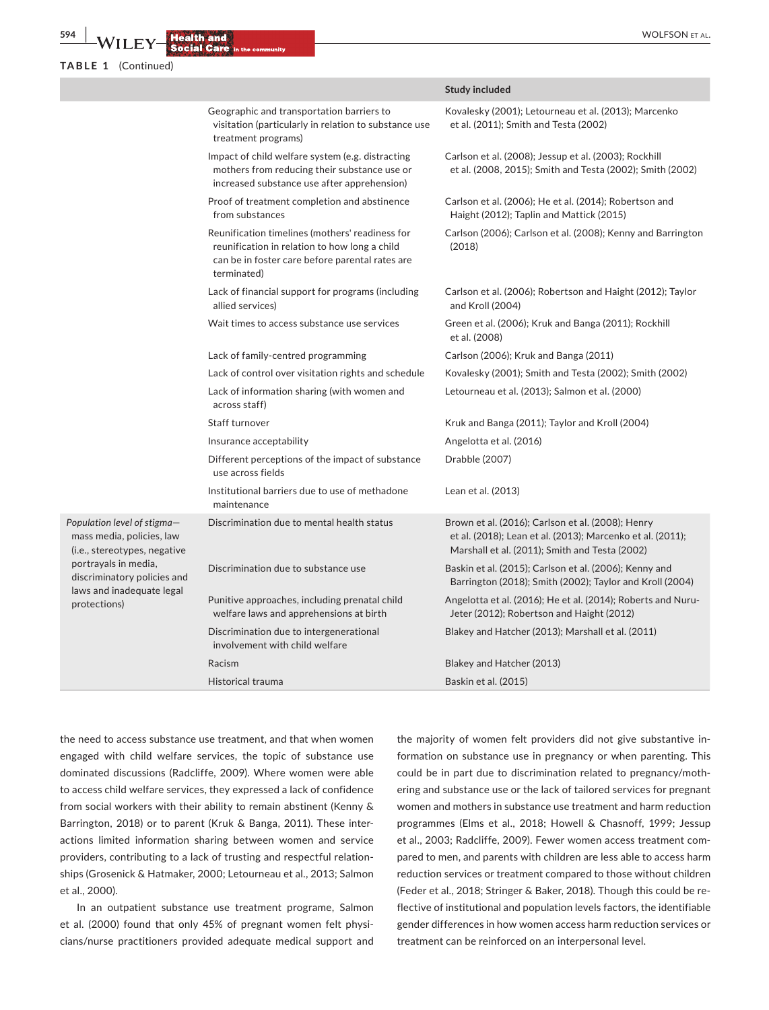|  | TABLE 1 |  | (Continued) |
|--|---------|--|-------------|
|--|---------|--|-------------|

|                                                                                                                                                                                              |                                                                                                                                                                    | <b>Study included</b>                                                                                                                                             |
|----------------------------------------------------------------------------------------------------------------------------------------------------------------------------------------------|--------------------------------------------------------------------------------------------------------------------------------------------------------------------|-------------------------------------------------------------------------------------------------------------------------------------------------------------------|
|                                                                                                                                                                                              | Geographic and transportation barriers to<br>visitation (particularly in relation to substance use<br>treatment programs)                                          | Kovalesky (2001); Letourneau et al. (2013); Marcenko<br>et al. (2011); Smith and Testa (2002)                                                                     |
|                                                                                                                                                                                              | Impact of child welfare system (e.g. distracting<br>mothers from reducing their substance use or<br>increased substance use after apprehension)                    | Carlson et al. (2008); Jessup et al. (2003); Rockhill<br>et al. (2008, 2015); Smith and Testa (2002); Smith (2002)                                                |
|                                                                                                                                                                                              | Proof of treatment completion and abstinence<br>from substances                                                                                                    | Carlson et al. (2006); He et al. (2014); Robertson and<br>Haight (2012); Taplin and Mattick (2015)                                                                |
|                                                                                                                                                                                              | Reunification timelines (mothers' readiness for<br>reunification in relation to how long a child<br>can be in foster care before parental rates are<br>terminated) | Carlson (2006); Carlson et al. (2008); Kenny and Barrington<br>(2018)                                                                                             |
|                                                                                                                                                                                              | Lack of financial support for programs (including<br>allied services)                                                                                              | Carlson et al. (2006); Robertson and Haight (2012); Taylor<br>and Kroll (2004)                                                                                    |
|                                                                                                                                                                                              | Wait times to access substance use services                                                                                                                        | Green et al. (2006); Kruk and Banga (2011); Rockhill<br>et al. (2008)                                                                                             |
|                                                                                                                                                                                              | Lack of family-centred programming                                                                                                                                 | Carlson (2006); Kruk and Banga (2011)                                                                                                                             |
|                                                                                                                                                                                              | Lack of control over visitation rights and schedule                                                                                                                | Kovalesky (2001); Smith and Testa (2002); Smith (2002)                                                                                                            |
|                                                                                                                                                                                              | Lack of information sharing (with women and<br>across staff)                                                                                                       | Letourneau et al. (2013); Salmon et al. (2000)                                                                                                                    |
|                                                                                                                                                                                              | Staff turnover                                                                                                                                                     | Kruk and Banga (2011); Taylor and Kroll (2004)                                                                                                                    |
|                                                                                                                                                                                              | Insurance acceptability                                                                                                                                            | Angelotta et al. (2016)                                                                                                                                           |
|                                                                                                                                                                                              | Different perceptions of the impact of substance<br>use across fields                                                                                              | Drabble (2007)                                                                                                                                                    |
|                                                                                                                                                                                              | Institutional barriers due to use of methadone<br>maintenance                                                                                                      | Lean et al. (2013)                                                                                                                                                |
| Population level of stigma—<br>mass media, policies, law<br>(i.e., stereotypes, negative<br>portrayals in media,<br>discriminatory policies and<br>laws and inadequate legal<br>protections) | Discrimination due to mental health status                                                                                                                         | Brown et al. (2016); Carlson et al. (2008); Henry<br>et al. (2018); Lean et al. (2013); Marcenko et al. (2011);<br>Marshall et al. (2011); Smith and Testa (2002) |
|                                                                                                                                                                                              | Discrimination due to substance use                                                                                                                                | Baskin et al. (2015); Carlson et al. (2006); Kenny and<br>Barrington (2018); Smith (2002); Taylor and Kroll (2004)                                                |
|                                                                                                                                                                                              | Punitive approaches, including prenatal child<br>welfare laws and apprehensions at birth                                                                           | Angelotta et al. (2016); He et al. (2014); Roberts and Nuru-<br>Jeter (2012); Robertson and Haight (2012)                                                         |
|                                                                                                                                                                                              | Discrimination due to intergenerational<br>involvement with child welfare                                                                                          | Blakey and Hatcher (2013); Marshall et al. (2011)                                                                                                                 |
|                                                                                                                                                                                              | Racism                                                                                                                                                             | Blakey and Hatcher (2013)                                                                                                                                         |
|                                                                                                                                                                                              | Historical trauma                                                                                                                                                  | Baskin et al. (2015)                                                                                                                                              |
|                                                                                                                                                                                              |                                                                                                                                                                    |                                                                                                                                                                   |

the need to access substance use treatment, and that when women engaged with child welfare services, the topic of substance use dominated discussions (Radcliffe, 2009). Where women were able to access child welfare services, they expressed a lack of confidence from social workers with their ability to remain abstinent (Kenny & Barrington, 2018) or to parent (Kruk & Banga, 2011). These interactions limited information sharing between women and service providers, contributing to a lack of trusting and respectful relationships (Grosenick & Hatmaker, 2000; Letourneau et al., 2013; Salmon et al., 2000).

In an outpatient substance use treatment programe, Salmon et al. (2000) found that only 45% of pregnant women felt physicians/nurse practitioners provided adequate medical support and

the majority of women felt providers did not give substantive information on substance use in pregnancy or when parenting. This could be in part due to discrimination related to pregnancy/mothering and substance use or the lack of tailored services for pregnant women and mothers in substance use treatment and harm reduction programmes (Elms et al., 2018; Howell & Chasnoff, 1999; Jessup et al., 2003; Radcliffe, 2009). Fewer women access treatment compared to men, and parents with children are less able to access harm reduction services or treatment compared to those without children (Feder et al., 2018; Stringer & Baker, 2018). Though this could be reflective of institutional and population levels factors, the identifiable gender differences in how women access harm reduction services or treatment can be reinforced on an interpersonal level.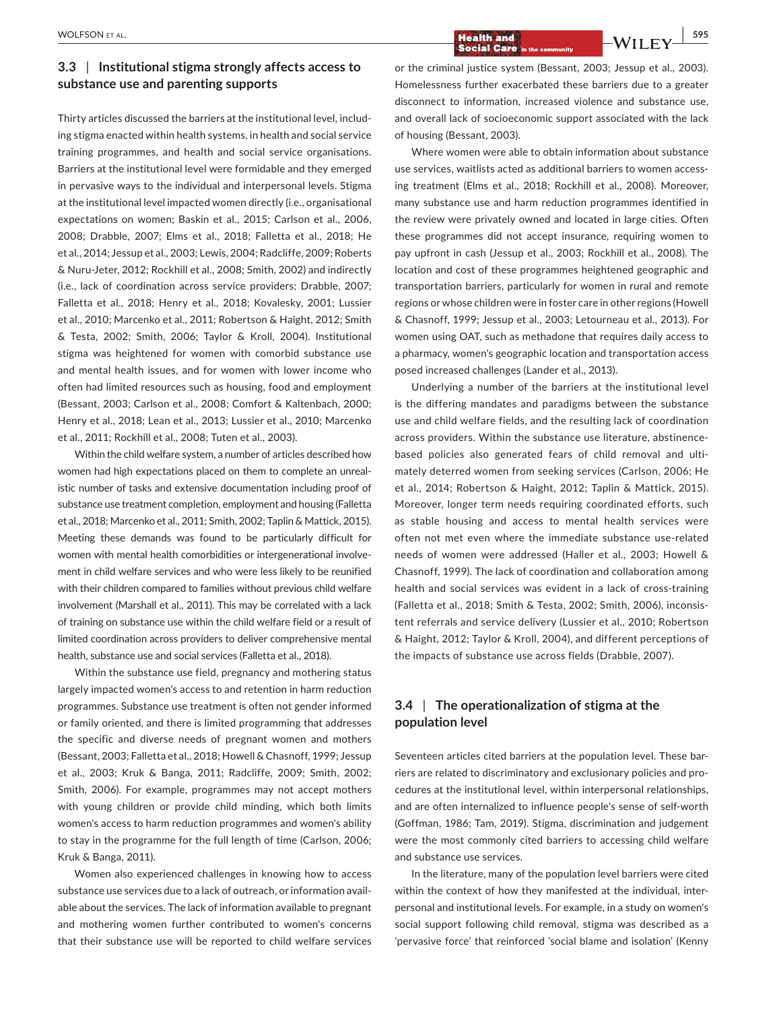# **3.3** | **Institutional stigma strongly affects access to substance use and parenting supports**

Thirty articles discussed the barriers at the institutional level, including stigma enacted within health systems, in health and social service training programmes, and health and social service organisations. Barriers at the institutional level were formidable and they emerged in pervasive ways to the individual and interpersonal levels. Stigma at the institutional level impacted women directly (i.e., organisational expectations on women; Baskin et al., 2015; Carlson et al., 2006, 2008; Drabble, 2007; Elms et al., 2018; Falletta et al., 2018; He et al., 2014; Jessup et al., 2003; Lewis, 2004; Radcliffe, 2009; Roberts & Nuru-Jeter, 2012; Rockhill et al., 2008; Smith, 2002) and indirectly (i.e., lack of coordination across service providers; Drabble, 2007; Falletta et al., 2018; Henry et al., 2018; Kovalesky, 2001; Lussier et al., 2010; Marcenko et al., 2011; Robertson & Haight, 2012; Smith & Testa, 2002; Smith, 2006; Taylor & Kroll, 2004). Institutional stigma was heightened for women with comorbid substance use and mental health issues, and for women with lower income who often had limited resources such as housing, food and employment (Bessant, 2003; Carlson et al., 2008; Comfort & Kaltenbach, 2000; Henry et al., 2018; Lean et al., 2013; Lussier et al., 2010; Marcenko et al., 2011; Rockhill et al., 2008; Tuten et al., 2003).

Within the child welfare system, a number of articles described how women had high expectations placed on them to complete an unrealistic number of tasks and extensive documentation including proof of substance use treatment completion, employment and housing (Falletta et al., 2018; Marcenko et al., 2011; Smith, 2002; Taplin & Mattick, 2015). Meeting these demands was found to be particularly difficult for women with mental health comorbidities or intergenerational involvement in child welfare services and who were less likely to be reunified with their children compared to families without previous child welfare involvement (Marshall et al., 2011). This may be correlated with a lack of training on substance use within the child welfare field or a result of limited coordination across providers to deliver comprehensive mental health, substance use and social services (Falletta et al., 2018).

Within the substance use field, pregnancy and mothering status largely impacted women's access to and retention in harm reduction programmes. Substance use treatment is often not gender informed or family oriented, and there is limited programming that addresses the specific and diverse needs of pregnant women and mothers (Bessant, 2003; Falletta et al., 2018; Howell & Chasnoff, 1999; Jessup et al., 2003; Kruk & Banga, 2011; Radcliffe, 2009; Smith, 2002; Smith, 2006). For example, programmes may not accept mothers with young children or provide child minding, which both limits women's access to harm reduction programmes and women's ability to stay in the programme for the full length of time (Carlson, 2006; Kruk & Banga, 2011).

Women also experienced challenges in knowing how to access substance use services due to a lack of outreach, or information available about the services. The lack of information available to pregnant and mothering women further contributed to women's concerns that their substance use will be reported to child welfare services

**Example 20 Integrals 20 Integrals 20 Integrals 20 Integrals 20 Integrals 20 Integrals 20 Integrals 20 Integrals 20 Integrals 20 Integrals 20 Integrals 20 Integrals 20 Integrals 20 Integrals 20 Integrals 20 Integrals 20 In** 

or the criminal justice system (Bessant, 2003; Jessup et al., 2003). Homelessness further exacerbated these barriers due to a greater disconnect to information, increased violence and substance use, and overall lack of socioeconomic support associated with the lack of housing (Bessant, 2003).

Where women were able to obtain information about substance use services, waitlists acted as additional barriers to women accessing treatment (Elms et al., 2018; Rockhill et al., 2008). Moreover, many substance use and harm reduction programmes identified in the review were privately owned and located in large cities. Often these programmes did not accept insurance, requiring women to pay upfront in cash (Jessup et al., 2003; Rockhill et al., 2008). The location and cost of these programmes heightened geographic and transportation barriers, particularly for women in rural and remote regions or whose children were in foster care in other regions (Howell & Chasnoff, 1999; Jessup et al., 2003; Letourneau et al., 2013). For women using OAT, such as methadone that requires daily access to a pharmacy, women's geographic location and transportation access posed increased challenges (Lander et al., 2013).

Underlying a number of the barriers at the institutional level is the differing mandates and paradigms between the substance use and child welfare fields, and the resulting lack of coordination across providers. Within the substance use literature, abstinencebased policies also generated fears of child removal and ultimately deterred women from seeking services (Carlson, 2006; He et al., 2014; Robertson & Haight, 2012; Taplin & Mattick, 2015). Moreover, longer term needs requiring coordinated efforts, such as stable housing and access to mental health services were often not met even where the immediate substance use-related needs of women were addressed (Haller et al., 2003; Howell & Chasnoff, 1999). The lack of coordination and collaboration among health and social services was evident in a lack of cross-training (Falletta et al., 2018; Smith & Testa, 2002; Smith, 2006), inconsistent referrals and service delivery (Lussier et al., 2010; Robertson & Haight, 2012; Taylor & Kroll, 2004), and different perceptions of the impacts of substance use across fields (Drabble, 2007).

# **3.4** | **The operationalization of stigma at the population level**

Seventeen articles cited barriers at the population level. These barriers are related to discriminatory and exclusionary policies and procedures at the institutional level, within interpersonal relationships, and are often internalized to influence people's sense of self-worth (Goffman, 1986; Tam, 2019). Stigma, discrimination and judgement were the most commonly cited barriers to accessing child welfare and substance use services.

In the literature, many of the population level barriers were cited within the context of how they manifested at the individual, interpersonal and institutional levels. For example, in a study on women's social support following child removal, stigma was described as a 'pervasive force' that reinforced 'social blame and isolation' (Kenny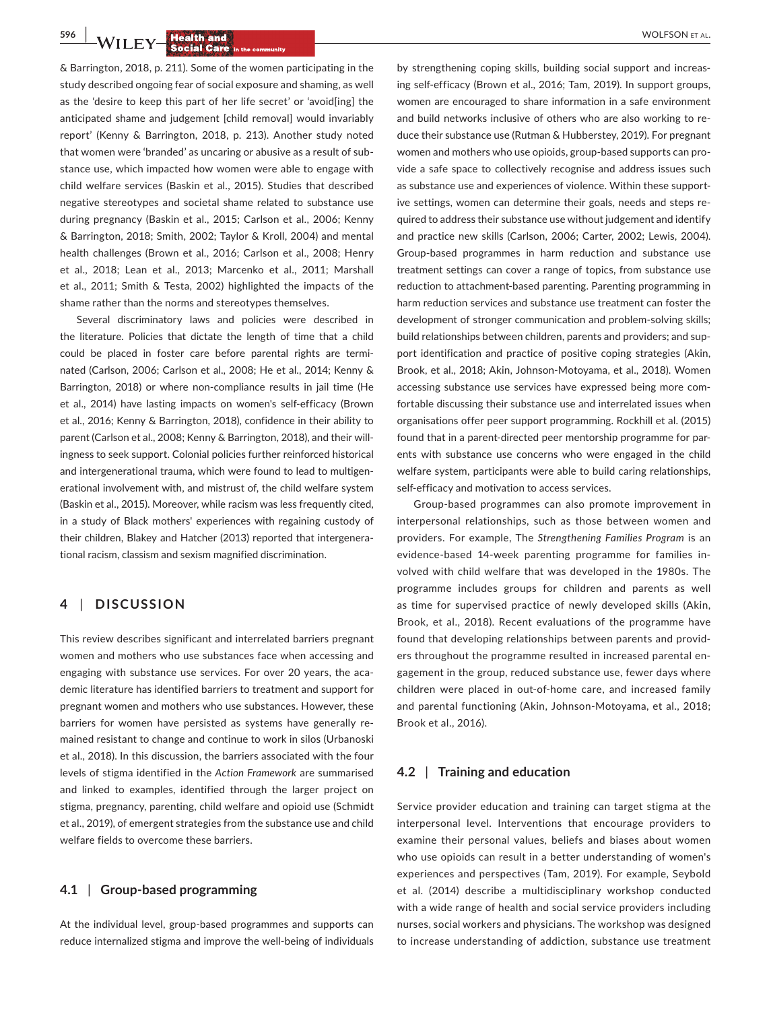**596 | <b>A**/II FA/**Health and a** 

& Barrington, 2018, p. 211). Some of the women participating in the study described ongoing fear of social exposure and shaming, as well as the 'desire to keep this part of her life secret' or 'avoid[ing] the anticipated shame and judgement [child removal] would invariably report' (Kenny & Barrington, 2018, p. 213). Another study noted that women were 'branded' as uncaring or abusive as a result of substance use, which impacted how women were able to engage with child welfare services (Baskin et al., 2015). Studies that described negative stereotypes and societal shame related to substance use during pregnancy (Baskin et al., 2015; Carlson et al., 2006; Kenny & Barrington, 2018; Smith, 2002; Taylor & Kroll, 2004) and mental health challenges (Brown et al., 2016; Carlson et al., 2008; Henry et al., 2018; Lean et al., 2013; Marcenko et al., 2011; Marshall et al., 2011; Smith & Testa, 2002) highlighted the impacts of the shame rather than the norms and stereotypes themselves.

Several discriminatory laws and policies were described in the literature. Policies that dictate the length of time that a child could be placed in foster care before parental rights are terminated (Carlson, 2006; Carlson et al., 2008; He et al., 2014; Kenny & Barrington, 2018) or where non-compliance results in jail time (He et al., 2014) have lasting impacts on women's self-efficacy (Brown et al., 2016; Kenny & Barrington, 2018), confidence in their ability to parent (Carlson et al., 2008; Kenny & Barrington, 2018), and their willingness to seek support. Colonial policies further reinforced historical and intergenerational trauma, which were found to lead to multigenerational involvement with, and mistrust of, the child welfare system (Baskin et al., 2015). Moreover, while racism was less frequently cited, in a study of Black mothers' experiences with regaining custody of their children, Blakey and Hatcher (2013) reported that intergenerational racism, classism and sexism magnified discrimination.

### **4** | **DISCUSSION**

This review describes significant and interrelated barriers pregnant women and mothers who use substances face when accessing and engaging with substance use services. For over 20 years, the academic literature has identified barriers to treatment and support for pregnant women and mothers who use substances. However, these barriers for women have persisted as systems have generally remained resistant to change and continue to work in silos (Urbanoski et al., 2018). In this discussion, the barriers associated with the four levels of stigma identified in the *Action Framework* are summarised and linked to examples, identified through the larger project on stigma, pregnancy, parenting, child welfare and opioid use (Schmidt et al., 2019), of emergent strategies from the substance use and child welfare fields to overcome these barriers.

### **4.1** | **Group-based programming**

At the individual level, group-based programmes and supports can reduce internalized stigma and improve the well-being of individuals by strengthening coping skills, building social support and increasing self-efficacy (Brown et al., 2016; Tam, 2019). In support groups, women are encouraged to share information in a safe environment and build networks inclusive of others who are also working to reduce their substance use (Rutman & Hubberstey, 2019). For pregnant women and mothers who use opioids, group-based supports can provide a safe space to collectively recognise and address issues such as substance use and experiences of violence. Within these supportive settings, women can determine their goals, needs and steps required to address their substance use without judgement and identify and practice new skills (Carlson, 2006; Carter, 2002; Lewis, 2004). Group-based programmes in harm reduction and substance use treatment settings can cover a range of topics, from substance use reduction to attachment-based parenting. Parenting programming in harm reduction services and substance use treatment can foster the development of stronger communication and problem-solving skills; build relationships between children, parents and providers; and support identification and practice of positive coping strategies (Akin, Brook, et al., 2018; Akin, Johnson-Motoyama, et al., 2018). Women accessing substance use services have expressed being more comfortable discussing their substance use and interrelated issues when organisations offer peer support programming. Rockhill et al. (2015) found that in a parent-directed peer mentorship programme for parents with substance use concerns who were engaged in the child welfare system, participants were able to build caring relationships, self-efficacy and motivation to access services.

Group-based programmes can also promote improvement in interpersonal relationships, such as those between women and providers. For example, The *Strengthening Families Program* is an evidence-based 14-week parenting programme for families involved with child welfare that was developed in the 1980s. The programme includes groups for children and parents as well as time for supervised practice of newly developed skills (Akin, Brook, et al., 2018). Recent evaluations of the programme have found that developing relationships between parents and providers throughout the programme resulted in increased parental engagement in the group, reduced substance use, fewer days where children were placed in out-of-home care, and increased family and parental functioning (Akin, Johnson-Motoyama, et al., 2018; Brook et al., 2016).

### **4.2** | **Training and education**

Service provider education and training can target stigma at the interpersonal level. Interventions that encourage providers to examine their personal values, beliefs and biases about women who use opioids can result in a better understanding of women's experiences and perspectives (Tam, 2019). For example, Seybold et al. (2014) describe a multidisciplinary workshop conducted with a wide range of health and social service providers including nurses, social workers and physicians. The workshop was designed to increase understanding of addiction, substance use treatment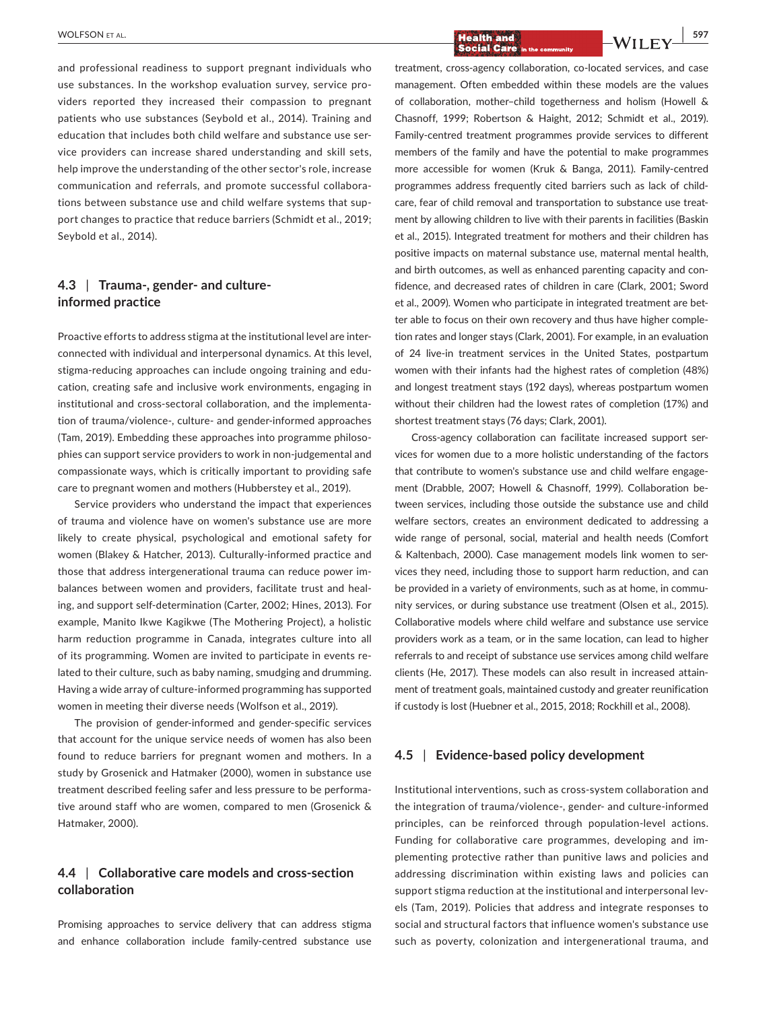and professional readiness to support pregnant individuals who use substances. In the workshop evaluation survey, service providers reported they increased their compassion to pregnant patients who use substances (Seybold et al., 2014). Training and education that includes both child welfare and substance use service providers can increase shared understanding and skill sets, help improve the understanding of the other sector's role, increase communication and referrals, and promote successful collaborations between substance use and child welfare systems that support changes to practice that reduce barriers (Schmidt et al., 2019; Seybold et al., 2014).

### **4.3** | **Trauma-, gender- and cultureinformed practice**

Proactive efforts to address stigma at the institutional level are interconnected with individual and interpersonal dynamics. At this level, stigma-reducing approaches can include ongoing training and education, creating safe and inclusive work environments, engaging in institutional and cross-sectoral collaboration, and the implementation of trauma/violence-, culture- and gender-informed approaches (Tam, 2019). Embedding these approaches into programme philosophies can support service providers to work in non-judgemental and compassionate ways, which is critically important to providing safe care to pregnant women and mothers (Hubberstey et al., 2019).

Service providers who understand the impact that experiences of trauma and violence have on women's substance use are more likely to create physical, psychological and emotional safety for women (Blakey & Hatcher, 2013). Culturally-informed practice and those that address intergenerational trauma can reduce power imbalances between women and providers, facilitate trust and healing, and support self-determination (Carter, 2002; Hines, 2013). For example, Manito Ikwe Kagikwe (The Mothering Project), a holistic harm reduction programme in Canada, integrates culture into all of its programming. Women are invited to participate in events related to their culture, such as baby naming, smudging and drumming. Having a wide array of culture-informed programming has supported women in meeting their diverse needs (Wolfson et al., 2019).

The provision of gender-informed and gender-specific services that account for the unique service needs of women has also been found to reduce barriers for pregnant women and mothers. In a study by Grosenick and Hatmaker (2000), women in substance use treatment described feeling safer and less pressure to be performative around staff who are women, compared to men (Grosenick & Hatmaker, 2000).

# **4.4** | **Collaborative care models and cross-section collaboration**

Promising approaches to service delivery that can address stigma and enhance collaboration include family-centred substance use treatment, cross-agency collaboration, co-located services, and case management. Often embedded within these models are the values of collaboration, mother–child togetherness and holism (Howell & Chasnoff, 1999; Robertson & Haight, 2012; Schmidt et al., 2019). Family-centred treatment programmes provide services to different members of the family and have the potential to make programmes more accessible for women (Kruk & Banga, 2011). Family-centred programmes address frequently cited barriers such as lack of childcare, fear of child removal and transportation to substance use treatment by allowing children to live with their parents in facilities (Baskin et al., 2015). Integrated treatment for mothers and their children has positive impacts on maternal substance use, maternal mental health, and birth outcomes, as well as enhanced parenting capacity and confidence, and decreased rates of children in care (Clark, 2001; Sword et al., 2009). Women who participate in integrated treatment are better able to focus on their own recovery and thus have higher completion rates and longer stays (Clark, 2001). For example, in an evaluation of 24 live-in treatment services in the United States, postpartum women with their infants had the highest rates of completion (48%) and longest treatment stays (192 days), whereas postpartum women without their children had the lowest rates of completion (17%) and shortest treatment stays (76 days; Clark, 2001).

Cross-agency collaboration can facilitate increased support services for women due to a more holistic understanding of the factors that contribute to women's substance use and child welfare engagement (Drabble, 2007; Howell & Chasnoff, 1999). Collaboration between services, including those outside the substance use and child welfare sectors, creates an environment dedicated to addressing a wide range of personal, social, material and health needs (Comfort & Kaltenbach, 2000). Case management models link women to services they need, including those to support harm reduction, and can be provided in a variety of environments, such as at home, in community services, or during substance use treatment (Olsen et al., 2015). Collaborative models where child welfare and substance use service providers work as a team, or in the same location, can lead to higher referrals to and receipt of substance use services among child welfare clients (He, 2017). These models can also result in increased attainment of treatment goals, maintained custody and greater reunification if custody is lost (Huebner et al., 2015, 2018; Rockhill et al., 2008).

### **4.5** | **Evidence-based policy development**

Institutional interventions, such as cross-system collaboration and the integration of trauma/violence-, gender- and culture-informed principles, can be reinforced through population-level actions. Funding for collaborative care programmes, developing and implementing protective rather than punitive laws and policies and addressing discrimination within existing laws and policies can support stigma reduction at the institutional and interpersonal levels (Tam, 2019). Policies that address and integrate responses to social and structural factors that influence women's substance use such as poverty, colonization and intergenerational trauma, and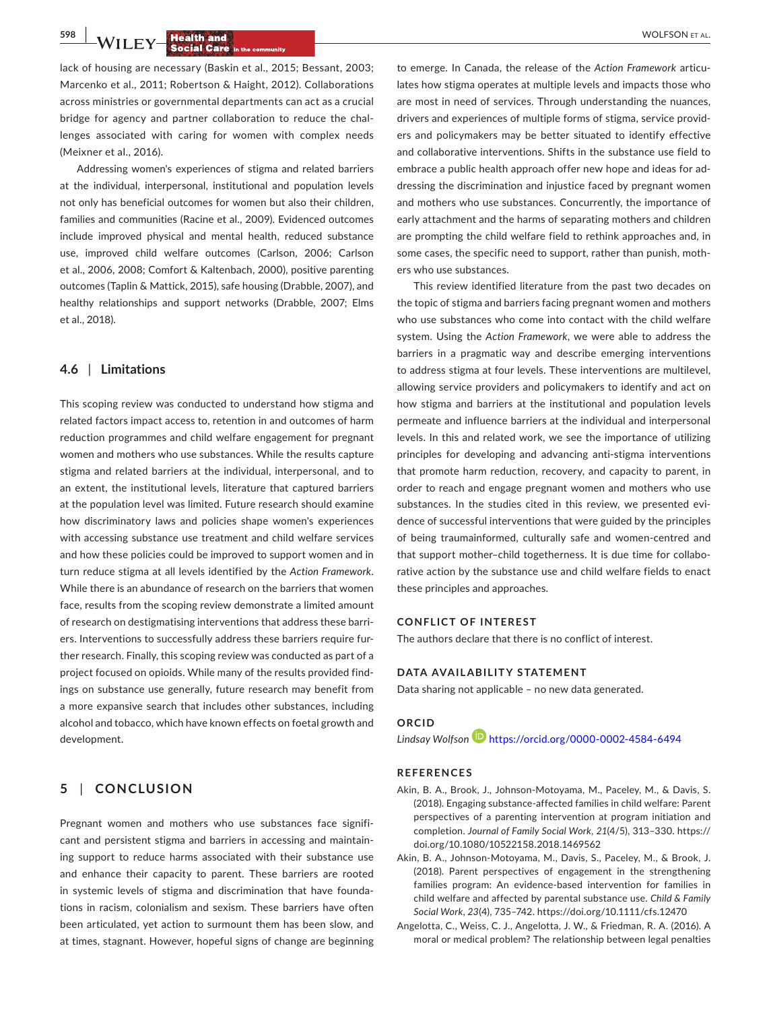**598 WILEY Bealth and** *Research and**Research* **<b>Social Care** in the community

lack of housing are necessary (Baskin et al., 2015; Bessant, 2003; Marcenko et al., 2011; Robertson & Haight, 2012). Collaborations across ministries or governmental departments can act as a crucial bridge for agency and partner collaboration to reduce the challenges associated with caring for women with complex needs (Meixner et al., 2016).

Addressing women's experiences of stigma and related barriers at the individual, interpersonal, institutional and population levels not only has beneficial outcomes for women but also their children, families and communities (Racine et al., 2009). Evidenced outcomes include improved physical and mental health, reduced substance use, improved child welfare outcomes (Carlson, 2006; Carlson et al., 2006, 2008; Comfort & Kaltenbach, 2000), positive parenting outcomes (Taplin & Mattick, 2015), safe housing (Drabble, 2007), and healthy relationships and support networks (Drabble, 2007; Elms et al., 2018).

### **4.6** | **Limitations**

This scoping review was conducted to understand how stigma and related factors impact access to, retention in and outcomes of harm reduction programmes and child welfare engagement for pregnant women and mothers who use substances. While the results capture stigma and related barriers at the individual, interpersonal, and to an extent, the institutional levels, literature that captured barriers at the population level was limited. Future research should examine how discriminatory laws and policies shape women's experiences with accessing substance use treatment and child welfare services and how these policies could be improved to support women and in turn reduce stigma at all levels identified by the *Action Framework*. While there is an abundance of research on the barriers that women face, results from the scoping review demonstrate a limited amount of research on destigmatising interventions that address these barriers. Interventions to successfully address these barriers require further research. Finally, this scoping review was conducted as part of a project focused on opioids. While many of the results provided findings on substance use generally, future research may benefit from a more expansive search that includes other substances, including alcohol and tobacco, which have known effects on foetal growth and development.

# **5** | **CONCLUSION**

Pregnant women and mothers who use substances face significant and persistent stigma and barriers in accessing and maintaining support to reduce harms associated with their substance use and enhance their capacity to parent. These barriers are rooted in systemic levels of stigma and discrimination that have foundations in racism, colonialism and sexism. These barriers have often been articulated, yet action to surmount them has been slow, and at times, stagnant. However, hopeful signs of change are beginning

to emerge. In Canada, the release of the *Action Framework* articulates how stigma operates at multiple levels and impacts those who are most in need of services. Through understanding the nuances, drivers and experiences of multiple forms of stigma, service providers and policymakers may be better situated to identify effective and collaborative interventions. Shifts in the substance use field to embrace a public health approach offer new hope and ideas for addressing the discrimination and injustice faced by pregnant women and mothers who use substances. Concurrently, the importance of early attachment and the harms of separating mothers and children are prompting the child welfare field to rethink approaches and, in some cases, the specific need to support, rather than punish, mothers who use substances.

This review identified literature from the past two decades on the topic of stigma and barriers facing pregnant women and mothers who use substances who come into contact with the child welfare system. Using the *Action Framework*, we were able to address the barriers in a pragmatic way and describe emerging interventions to address stigma at four levels. These interventions are multilevel, allowing service providers and policymakers to identify and act on how stigma and barriers at the institutional and population levels permeate and influence barriers at the individual and interpersonal levels. In this and related work, we see the importance of utilizing principles for developing and advancing anti-stigma interventions that promote harm reduction, recovery, and capacity to parent, in order to reach and engage pregnant women and mothers who use substances. In the studies cited in this review, we presented evidence of successful interventions that were guided by the principles of being traumainformed, culturally safe and women-centred and that support mother–child togetherness. It is due time for collaborative action by the substance use and child welfare fields to enact these principles and approaches.

#### **CONFLICT OF INTEREST**

The authors declare that there is no conflict of interest.

#### **DATA AVAILABILITY STATEMENT**

Data sharing not applicable – no new data generated.

### **ORCID**

*Lindsay Wolfso[n](https://orcid.org/0000-0002-4584-6494)* <https://orcid.org/0000-0002-4584-6494>

#### **REFERENCES**

- Akin, B. A., Brook, J., Johnson-Motoyama, M., Paceley, M., & Davis, S. (2018). Engaging substance-affected families in child welfare: Parent perspectives of a parenting intervention at program initiation and completion. *Journal of Family Social Work*, *21*(4/5), 313–330. [https://](https://doi.org/10.1080/10522158.2018.1469562) [doi.org/10.1080/10522158.2018.1469562](https://doi.org/10.1080/10522158.2018.1469562)
- Akin, B. A., Johnson-Motoyama, M., Davis, S., Paceley, M., & Brook, J. (2018). Parent perspectives of engagement in the strengthening families program: An evidence-based intervention for families in child welfare and affected by parental substance use. *Child & Family Social Work*, *23*(4), 735–742.<https://doi.org/10.1111/cfs.12470>
- Angelotta, C., Weiss, C. J., Angelotta, J. W., & Friedman, R. A. (2016). A moral or medical problem? The relationship between legal penalties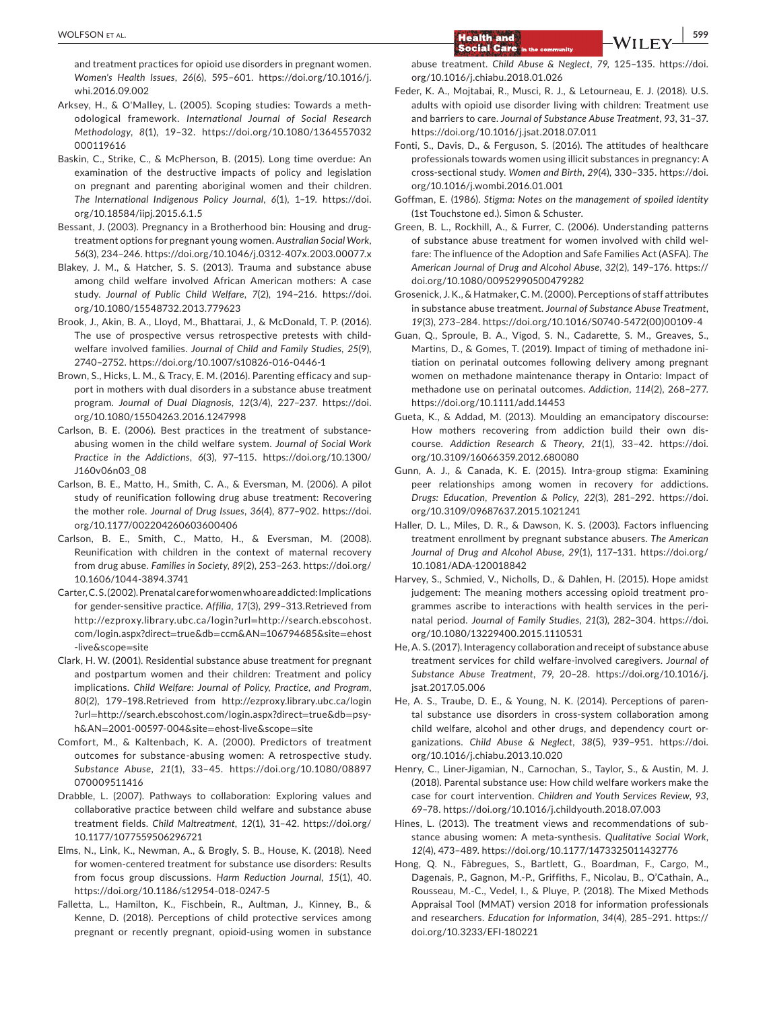and treatment practices for opioid use disorders in pregnant women. *Women's Health Issues*, *26*(6), 595–601. [https://doi.org/10.1016/j.](https://doi.org/10.1016/j.whi.2016.09.002) [whi.2016.09.002](https://doi.org/10.1016/j.whi.2016.09.002)

- Arksey, H., & O'Malley, L. (2005). Scoping studies: Towards a methodological framework. *International Journal of Social Research Methodology*, *8*(1), 19–32. [https://doi.org/10.1080/1364557032](https://doi.org/10.1080/1364557032000119616) [000119616](https://doi.org/10.1080/1364557032000119616)
- Baskin, C., Strike, C., & McPherson, B. (2015). Long time overdue: An examination of the destructive impacts of policy and legislation on pregnant and parenting aboriginal women and their children. *The International Indigenous Policy Journal*, *6*(1), 1–19. [https://doi.](https://doi.org/10.18584/iipj.2015.6.1.5) [org/10.18584/iipj.2015.6.1.5](https://doi.org/10.18584/iipj.2015.6.1.5)
- Bessant, J. (2003). Pregnancy in a Brotherhood bin: Housing and drugtreatment options for pregnant young women. *Australian Social Work*, *56*(3), 234–246.<https://doi.org/10.1046/j.0312-407x.2003.00077.x>
- Blakey, J. M., & Hatcher, S. S. (2013). Trauma and substance abuse among child welfare involved African American mothers: A case study. *Journal of Public Child Welfare*, *7*(2), 194–216. [https://doi.](https://doi.org/10.1080/15548732.2013.779623) [org/10.1080/15548732.2013.779623](https://doi.org/10.1080/15548732.2013.779623)
- Brook, J., Akin, B. A., Lloyd, M., Bhattarai, J., & McDonald, T. P. (2016). The use of prospective versus retrospective pretests with childwelfare involved families. *Journal of Child and Family Studies*, *25*(9), 2740–2752.<https://doi.org/10.1007/s10826-016-0446-1>
- Brown, S., Hicks, L. M., & Tracy, E. M. (2016). Parenting efficacy and support in mothers with dual disorders in a substance abuse treatment program. *Journal of Dual Diagnosis*, *12*(3/4), 227–237. [https://doi.](https://doi.org/10.1080/15504263.2016.1247998) [org/10.1080/15504263.2016.1247998](https://doi.org/10.1080/15504263.2016.1247998)
- Carlson, B. E. (2006). Best practices in the treatment of substanceabusing women in the child welfare system. *Journal of Social Work Practice in the Addictions*, *6*(3), 97–115. [https://doi.org/10.1300/](https://doi.org/10.1300/J160v06n03_08) [J160v06n03\\_08](https://doi.org/10.1300/J160v06n03_08)
- Carlson, B. E., Matto, H., Smith, C. A., & Eversman, M. (2006). A pilot study of reunification following drug abuse treatment: Recovering the mother role. *Journal of Drug Issues*, *36*(4), 877–902. [https://doi.](https://doi.org/10.1177/002204260603600406) [org/10.1177/002204260603600406](https://doi.org/10.1177/002204260603600406)
- Carlson, B. E., Smith, C., Matto, H., & Eversman, M. (2008). Reunification with children in the context of maternal recovery from drug abuse. *Families in Society*, *89*(2), 253–263. [https://doi.org/](https://doi.org/10.1606/1044-3894.3741) [10.1606/1044-3894.3741](https://doi.org/10.1606/1044-3894.3741)
- Carter, C. S. (2002). Prenatal care for women who are addicted: Implications for gender-sensitive practice. *Affilia*, *17*(3), 299–313.Retrieved from [http://ezproxy.library.ubc.ca/login?url](http://ezproxy.library.ubc.ca/login?url=http://search.ebscohost.com/login.aspx?direct=true&db=ccm&AN=106794685&site=ehost-live&scope=site)=http://search.ebscohost. [com/login.aspx?direct](http://ezproxy.library.ubc.ca/login?url=http://search.ebscohost.com/login.aspx?direct=true&db=ccm&AN=106794685&site=ehost-live&scope=site)=true&db=ccm&AN=106794685&site=ehost [-live&scope](http://ezproxy.library.ubc.ca/login?url=http://search.ebscohost.com/login.aspx?direct=true&db=ccm&AN=106794685&site=ehost-live&scope=site)=site
- Clark, H. W. (2001). Residential substance abuse treatment for pregnant and postpartum women and their children: Treatment and policy implications. *Child Welfare: Journal of Policy, Practice, and Program*, *80*(2), 179–198.Retrieved from [http://ezproxy.library.ubc.ca/login](http://ezproxy.library.ubc.ca/login?url=http://search.ebscohost.com/login.aspx?direct=true&db=psyh&AN=2001-00597-004&site=ehost-live&scope=site) ?url=[http://search.ebscohost.com/login.aspx?direct](http://ezproxy.library.ubc.ca/login?url=http://search.ebscohost.com/login.aspx?direct=true&db=psyh&AN=2001-00597-004&site=ehost-live&scope=site)=true&db=psyh&AN=[2001-00597-004&site](http://ezproxy.library.ubc.ca/login?url=http://search.ebscohost.com/login.aspx?direct=true&db=psyh&AN=2001-00597-004&site=ehost-live&scope=site)=ehost-live&scope=site
- Comfort, M., & Kaltenbach, K. A. (2000). Predictors of treatment outcomes for substance-abusing women: A retrospective study. *Substance Abuse*, *21*(1), 33–45. [https://doi.org/10.1080/08897](https://doi.org/10.1080/08897070009511416) [070009511416](https://doi.org/10.1080/08897070009511416)
- Drabble, L. (2007). Pathways to collaboration: Exploring values and collaborative practice between child welfare and substance abuse treatment fields. *Child Maltreatment*, *12*(1), 31–42. [https://doi.org/](https://doi.org/10.1177/1077559506296721) [10.1177/1077559506296721](https://doi.org/10.1177/1077559506296721)
- Elms, N., Link, K., Newman, A., & Brogly, S. B., House, K. (2018). Need for women-centered treatment for substance use disorders: Results from focus group discussions. *Harm Reduction Journal*, *15*(1), 40. <https://doi.org/10.1186/s12954-018-0247-5>
- Falletta, L., Hamilton, K., Fischbein, R., Aultman, J., Kinney, B., & Kenne, D. (2018). Perceptions of child protective services among pregnant or recently pregnant, opioid-using women in substance

abuse treatment. *Child Abuse & Neglect*, *79*, 125–135. [https://doi.](https://doi.org/10.1016/j.chiabu.2018.01.026) [org/10.1016/j.chiabu.2018.01.026](https://doi.org/10.1016/j.chiabu.2018.01.026)

- Feder, K. A., Mojtabai, R., Musci, R. J., & Letourneau, E. J. (2018). U.S. adults with opioid use disorder living with children: Treatment use and barriers to care. *Journal of Substance Abuse Treatment*, *93*, 31–37. <https://doi.org/10.1016/j.jsat.2018.07.011>
- Fonti, S., Davis, D., & Ferguson, S. (2016). The attitudes of healthcare professionals towards women using illicit substances in pregnancy: A cross-sectional study. *Women and Birth*, *29*(4), 330–335. [https://doi.](https://doi.org/10.1016/j.wombi.2016.01.001) [org/10.1016/j.wombi.2016.01.001](https://doi.org/10.1016/j.wombi.2016.01.001)
- Goffman, E. (1986). *Stigma: Notes on the management of spoiled identity* (1st Touchstone ed.). Simon & Schuster.
- Green, B. L., Rockhill, A., & Furrer, C. (2006). Understanding patterns of substance abuse treatment for women involved with child welfare: The influence of the Adoption and Safe Families Act (ASFA). *The American Journal of Drug and Alcohol Abuse*, *32*(2), 149–176. [https://](https://doi.org/10.1080/00952990500479282) [doi.org/10.1080/00952990500479282](https://doi.org/10.1080/00952990500479282)
- Grosenick, J. K., & Hatmaker, C. M. (2000). Perceptions of staff attributes in substance abuse treatment. *Journal of Substance Abuse Treatment*, *19*(3), 273–284. [https://doi.org/10.1016/S0740-5472\(00\)00109-4](https://doi.org/10.1016/S0740-5472(00)00109-4)
- Guan, Q., Sproule, B. A., Vigod, S. N., Cadarette, S. M., Greaves, S., Martins, D., & Gomes, T. (2019). Impact of timing of methadone initiation on perinatal outcomes following delivery among pregnant women on methadone maintenance therapy in Ontario: Impact of methadone use on perinatal outcomes. *Addiction*, *114*(2), 268–277. <https://doi.org/10.1111/add.14453>
- Gueta, K., & Addad, M. (2013). Moulding an emancipatory discourse: How mothers recovering from addiction build their own discourse. *Addiction Research & Theory*, *21*(1), 33–42. [https://doi.](https://doi.org/10.3109/16066359.2012.680080) [org/10.3109/16066359.2012.680080](https://doi.org/10.3109/16066359.2012.680080)
- Gunn, A. J., & Canada, K. E. (2015). Intra-group stigma: Examining peer relationships among women in recovery for addictions. *Drugs: Education, Prevention & Policy*, *22*(3), 281–292. [https://doi.](https://doi.org/10.3109/09687637.2015.1021241) [org/10.3109/09687637.2015.1021241](https://doi.org/10.3109/09687637.2015.1021241)
- Haller, D. L., Miles, D. R., & Dawson, K. S. (2003). Factors influencing treatment enrollment by pregnant substance abusers. *The American Journal of Drug and Alcohol Abuse*, *29*(1), 117–131. [https://doi.org/](https://doi.org/10.1081/ADA-120018842) [10.1081/ADA-120018842](https://doi.org/10.1081/ADA-120018842)
- Harvey, S., Schmied, V., Nicholls, D., & Dahlen, H. (2015). Hope amidst judgement: The meaning mothers accessing opioid treatment programmes ascribe to interactions with health services in the perinatal period. *Journal of Family Studies*, *21*(3), 282–304. [https://doi.](https://doi.org/10.1080/13229400.2015.1110531) [org/10.1080/13229400.2015.1110531](https://doi.org/10.1080/13229400.2015.1110531)
- He, A. S. (2017). Interagency collaboration and receipt of substance abuse treatment services for child welfare-involved caregivers. *Journal of Substance Abuse Treatment*, *79*, 20–28. [https://doi.org/10.1016/j.](https://doi.org/10.1016/j.jsat.2017.05.006) [jsat.2017.05.006](https://doi.org/10.1016/j.jsat.2017.05.006)
- He, A. S., Traube, D. E., & Young, N. K. (2014). Perceptions of parental substance use disorders in cross-system collaboration among child welfare, alcohol and other drugs, and dependency court organizations. *Child Abuse & Neglect*, *38*(5), 939–951. [https://doi.](https://doi.org/10.1016/j.chiabu.2013.10.020) [org/10.1016/j.chiabu.2013.10.020](https://doi.org/10.1016/j.chiabu.2013.10.020)
- Henry, C., Liner-Jigamian, N., Carnochan, S., Taylor, S., & Austin, M. J. (2018). Parental substance use: How child welfare workers make the case for court intervention. *Children and Youth Services Review*, *93*, 69–78.<https://doi.org/10.1016/j.childyouth.2018.07.003>
- Hines, L. (2013). The treatment views and recommendations of substance abusing women: A meta-synthesis. *Qualitative Social Work*, *12*(4), 473–489.<https://doi.org/10.1177/1473325011432776>
- Hong, Q. N., Fàbregues, S., Bartlett, G., Boardman, F., Cargo, M., Dagenais, P., Gagnon, M.-P., Griffiths, F., Nicolau, B., O'Cathain, A., Rousseau, M.-C., Vedel, I., & Pluye, P. (2018). The Mixed Methods Appraisal Tool (MMAT) version 2018 for information professionals and researchers. *Education for Information*, *34*(4), 285–291. [https://](https://doi.org/10.3233/EFI-180221) [doi.org/10.3233/EFI-180221](https://doi.org/10.3233/EFI-180221)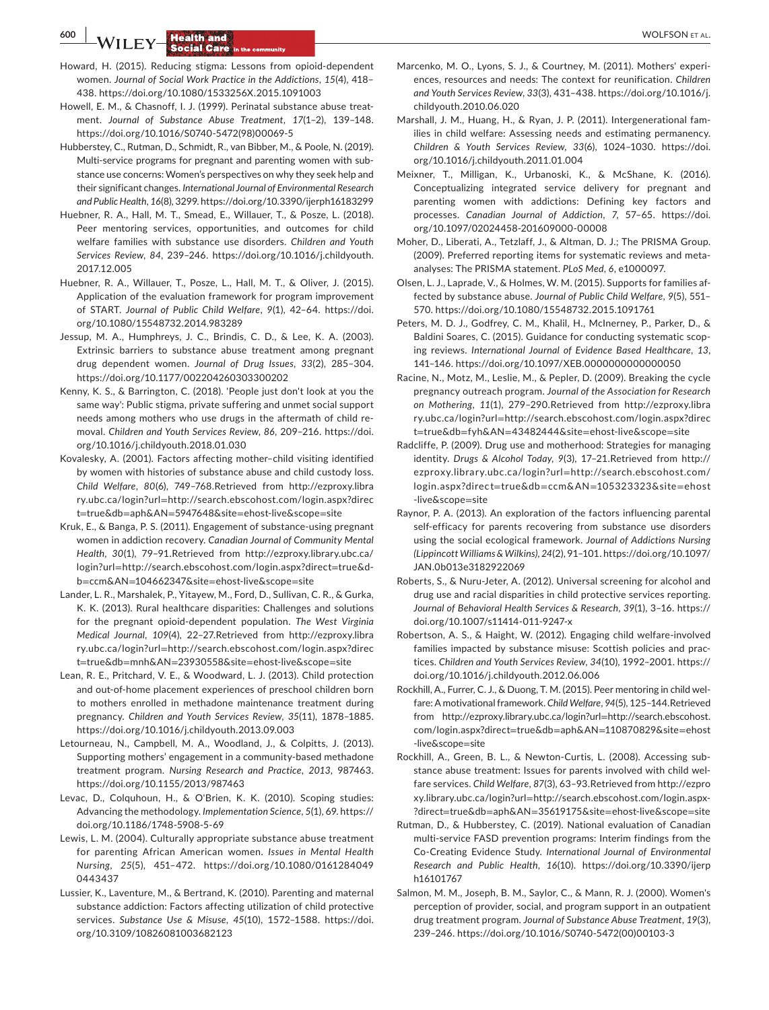**600 | <b>A**/II FX/ **Health and** *P CO* 

- Howard, H. (2015). Reducing stigma: Lessons from opioid-dependent women. *Journal of Social Work Practice in the Addictions*, *15*(4), 418– 438. <https://doi.org/10.1080/1533256X.2015.1091003>
- Howell, E. M., & Chasnoff, I. J. (1999). Perinatal substance abuse treatment. *Journal of Substance Abuse Treatment*, *17*(1–2), 139–148. [https://doi.org/10.1016/S0740-5472\(98\)00069-5](https://doi.org/10.1016/S0740-5472(98)00069-5)
- Hubberstey, C., Rutman, D., Schmidt, R., van Bibber, M., & Poole, N. (2019). Multi-service programs for pregnant and parenting women with substance use concerns: Women's perspectives on why they seek help and their significant changes. *International Journal of Environmental Research and Public Health*, *16*(8), 3299.<https://doi.org/10.3390/ijerph16183299>
- Huebner, R. A., Hall, M. T., Smead, E., Willauer, T., & Posze, L. (2018). Peer mentoring services, opportunities, and outcomes for child welfare families with substance use disorders. *Children and Youth Services Review*, *84*, 239–246. [https://doi.org/10.1016/j.childyouth.](https://doi.org/10.1016/j.childyouth.2017.12.005) [2017.12.005](https://doi.org/10.1016/j.childyouth.2017.12.005)
- Huebner, R. A., Willauer, T., Posze, L., Hall, M. T., & Oliver, J. (2015). Application of the evaluation framework for program improvement of START. *Journal of Public Child Welfare*, *9*(1), 42–64. [https://doi.](https://doi.org/10.1080/15548732.2014.983289) [org/10.1080/15548732.2014.983289](https://doi.org/10.1080/15548732.2014.983289)
- Jessup, M. A., Humphreys, J. C., Brindis, C. D., & Lee, K. A. (2003). Extrinsic barriers to substance abuse treatment among pregnant drug dependent women. *Journal of Drug Issues*, *33*(2), 285–304. <https://doi.org/10.1177/002204260303300202>
- Kenny, K. S., & Barrington, C. (2018). 'People just don't look at you the same way': Public stigma, private suffering and unmet social support needs among mothers who use drugs in the aftermath of child removal. *Children and Youth Services Review*, *86*, 209–216. [https://doi.](https://doi.org/10.1016/j.childyouth.2018.01.030) [org/10.1016/j.childyouth.2018.01.030](https://doi.org/10.1016/j.childyouth.2018.01.030)
- Kovalesky, A. (2001). Factors affecting mother–child visiting identified by women with histories of substance abuse and child custody loss. *Child Welfare*, *80*(6), 749–768.Retrieved from [http://ezproxy.libra](http://ezproxy.library.ubc.ca/login?url=http://search.ebscohost.com/login.aspx?direct=true&db=aph&AN=5947648&site=ehost-live&scope=site) ry.ubc.ca/login?url=[http://search.ebscohost.com/login.aspx?direc](http://ezproxy.library.ubc.ca/login?url=http://search.ebscohost.com/login.aspx?direct=true&db=aph&AN=5947648&site=ehost-live&scope=site) t=true&db=aph&AN=5947648&site=[ehost-live&scope](http://ezproxy.library.ubc.ca/login?url=http://search.ebscohost.com/login.aspx?direct=true&db=aph&AN=5947648&site=ehost-live&scope=site)=site
- Kruk, E., & Banga, P. S. (2011). Engagement of substance-using pregnant women in addiction recovery. *Canadian Journal of Community Mental Health*, *30*(1), 79–91.Retrieved from [http://ezproxy.library.ubc.ca/](http://ezproxy.library.ubc.ca/login?url=http://search.ebscohost.com/login.aspx?direct=true&db=ccm&AN=104662347&site=ehost-live&scope=site) login?url=[http://search.ebscohost.com/login.aspx?direct](http://ezproxy.library.ubc.ca/login?url=http://search.ebscohost.com/login.aspx?direct=true&db=ccm&AN=104662347&site=ehost-live&scope=site)=true&db=ccm&AN=104662347&site=[ehost-live&scope](http://ezproxy.library.ubc.ca/login?url=http://search.ebscohost.com/login.aspx?direct=true&db=ccm&AN=104662347&site=ehost-live&scope=site)=site
- Lander, L. R., Marshalek, P., Yitayew, M., Ford, D., Sullivan, C. R., & Gurka, K. K. (2013). Rural healthcare disparities: Challenges and solutions for the pregnant opioid-dependent population. *The West Virginia Medical Journal*, *109*(4), 22–27.Retrieved from [http://ezproxy.libra](http://ezproxy.library.ubc.ca/login?url=http://search.ebscohost.com/login.aspx?direct=true&db=mnh&AN=23930558&site=ehost-live&scope=site) ry.ubc.ca/login?url=[http://search.ebscohost.com/login.aspx?direc](http://ezproxy.library.ubc.ca/login?url=http://search.ebscohost.com/login.aspx?direct=true&db=mnh&AN=23930558&site=ehost-live&scope=site) t=true&db=mnh&AN=23930558&site=[ehost-live&scope](http://ezproxy.library.ubc.ca/login?url=http://search.ebscohost.com/login.aspx?direct=true&db=mnh&AN=23930558&site=ehost-live&scope=site)=site
- Lean, R. E., Pritchard, V. E., & Woodward, L. J. (2013). Child protection and out-of-home placement experiences of preschool children born to mothers enrolled in methadone maintenance treatment during pregnancy. *Children and Youth Services Review*, *35*(11), 1878–1885. <https://doi.org/10.1016/j.childyouth.2013.09.003>
- Letourneau, N., Campbell, M. A., Woodland, J., & Colpitts, J. (2013). Supporting mothers' engagement in a community-based methadone treatment program. *Nursing Research and Practice*, *2013*, 987463. <https://doi.org/10.1155/2013/987463>
- Levac, D., Colquhoun, H., & O'Brien, K. K. (2010). Scoping studies: Advancing the methodology. *Implementation Science*, *5*(1), 69. [https://](https://doi.org/10.1186/1748-5908-5-69) [doi.org/10.1186/1748-5908-5-69](https://doi.org/10.1186/1748-5908-5-69)
- Lewis, L. M. (2004). Culturally appropriate substance abuse treatment for parenting African American women. *Issues in Mental Health Nursing*, *25*(5), 451–472. [https://doi.org/10.1080/0161284049](https://doi.org/10.1080/01612840490443437) [0443437](https://doi.org/10.1080/01612840490443437)
- Lussier, K., Laventure, M., & Bertrand, K. (2010). Parenting and maternal substance addiction: Factors affecting utilization of child protective services. *Substance Use & Misuse*, *45*(10), 1572–1588. [https://doi.](https://doi.org/10.3109/10826081003682123) [org/10.3109/10826081003682123](https://doi.org/10.3109/10826081003682123)
- Marcenko, M. O., Lyons, S. J., & Courtney, M. (2011). Mothers' experiences, resources and needs: The context for reunification. *Children and Youth Services Review*, *33*(3), 431–438. [https://doi.org/10.1016/j.](https://doi.org/10.1016/j.childyouth.2010.06.020) [childyouth.2010.06.020](https://doi.org/10.1016/j.childyouth.2010.06.020)
- Marshall, J. M., Huang, H., & Ryan, J. P. (2011). Intergenerational families in child welfare: Assessing needs and estimating permanency. *Children & Youth Services Review*, *33*(6), 1024–1030. [https://doi.](https://doi.org/10.1016/j.childyouth.2011.01.004) [org/10.1016/j.childyouth.2011.01.004](https://doi.org/10.1016/j.childyouth.2011.01.004)
- Meixner, T., Milligan, K., Urbanoski, K., & McShane, K. (2016). Conceptualizing integrated service delivery for pregnant and parenting women with addictions: Defining key factors and processes. *Canadian Journal of Addiction*, *7*, 57–65. [https://doi.](https://doi.org/10.1097/02024458-201609000-00008) [org/10.1097/02024458-201609000-00008](https://doi.org/10.1097/02024458-201609000-00008)
- Moher, D., Liberati, A., Tetzlaff, J., & Altman, D. J.; The PRISMA Group. (2009). Preferred reporting items for systematic reviews and metaanalyses: The PRISMA statement. *PLoS Med*, *6*, e1000097.
- Olsen, L. J., Laprade, V., & Holmes, W. M. (2015). Supports for families affected by substance abuse. *Journal of Public Child Welfare*, *9*(5), 551– 570.<https://doi.org/10.1080/15548732.2015.1091761>
- Peters, M. D. J., Godfrey, C. M., Khalil, H., McInerney, P., Parker, D., & Baldini Soares, C. (2015). Guidance for conducting systematic scoping reviews. *International Journal of Evidence Based Healthcare*, *13*, 141–146.<https://doi.org/10.1097/XEB.0000000000000050>
- Racine, N., Motz, M., Leslie, M., & Pepler, D. (2009). Breaking the cycle pregnancy outreach program. *Journal of the Association for Research on Mothering*, *11*(1), 279–290.Retrieved from [http://ezproxy.libra](http://ezproxy.library.ubc.ca/login?url=http://search.ebscohost.com/login.aspx?direct=true&db=fyh&AN=43482444&site=ehost-live&scope=site) ry.ubc.ca/login?url=[http://search.ebscohost.com/login.aspx?direc](http://ezproxy.library.ubc.ca/login?url=http://search.ebscohost.com/login.aspx?direct=true&db=fyh&AN=43482444&site=ehost-live&scope=site) t=true&db=fyh&AN=43482444&site=[ehost-live&scope](http://ezproxy.library.ubc.ca/login?url=http://search.ebscohost.com/login.aspx?direct=true&db=fyh&AN=43482444&site=ehost-live&scope=site)=site
- Radcliffe, P. (2009). Drug use and motherhood: Strategies for managing identity. *Drugs & Alcohol Today*, *9*(3), 17–21.Retrieved from [http://](http://ezproxy.library.ubc.ca/login?url=http://search.ebscohost.com/login.aspx?direct=true&db=ccm&AN=105323323&site=ehost-live&scope=site) [ezproxy.library.ubc.ca/login?url](http://ezproxy.library.ubc.ca/login?url=http://search.ebscohost.com/login.aspx?direct=true&db=ccm&AN=105323323&site=ehost-live&scope=site)=http://search.ebscohost.com/ login.aspx?direc t=true&db=ccm&AN=[105323323&site](http://ezproxy.library.ubc.ca/login?url=http://search.ebscohost.com/login.aspx?direct=true&db=ccm&AN=105323323&site=ehost-live&scope=site)=ehost [-live&scope](http://ezproxy.library.ubc.ca/login?url=http://search.ebscohost.com/login.aspx?direct=true&db=ccm&AN=105323323&site=ehost-live&scope=site)=site
- Raynor, P. A. (2013). An exploration of the factors influencing parental self-efficacy for parents recovering from substance use disorders using the social ecological framework. *Journal of Addictions Nursing (Lippincott Williams & Wilkins)*, *24*(2), 91–101. [https://doi.org/10.1097/](https://doi.org/10.1097/JAN.0b013e3182922069) [JAN.0b013e3182922069](https://doi.org/10.1097/JAN.0b013e3182922069)
- Roberts, S., & Nuru-Jeter, A. (2012). Universal screening for alcohol and drug use and racial disparities in child protective services reporting. *Journal of Behavioral Health Services & Research*, *39*(1), 3–16. [https://](https://doi.org/10.1007/s11414-011-9247-x) [doi.org/10.1007/s11414-011-9247-x](https://doi.org/10.1007/s11414-011-9247-x)
- Robertson, A. S., & Haight, W. (2012). Engaging child welfare-involved families impacted by substance misuse: Scottish policies and practices. *Children and Youth Services Review*, *34*(10), 1992–2001. [https://](https://doi.org/10.1016/j.childyouth.2012.06.006) [doi.org/10.1016/j.childyouth.2012.06.006](https://doi.org/10.1016/j.childyouth.2012.06.006)
- Rockhill, A., Furrer, C. J., & Duong, T. M. (2015). Peer mentoring in child welfare: A motivational framework. *Child Welfare*, *94*(5), 125–144.Retrieved from [http://ezproxy.library.ubc.ca/login?url](http://ezproxy.library.ubc.ca/login?url=http://search.ebscohost.com/login.aspx?direct=true&db=aph&AN=110870829&site=ehost-live&scope=site)=http://search.ebscohost. [com/login.aspx?direct](http://ezproxy.library.ubc.ca/login?url=http://search.ebscohost.com/login.aspx?direct=true&db=aph&AN=110870829&site=ehost-live&scope=site)=true&db=aph&AN=110870829&site=ehost [-live&scope](http://ezproxy.library.ubc.ca/login?url=http://search.ebscohost.com/login.aspx?direct=true&db=aph&AN=110870829&site=ehost-live&scope=site)=site
- Rockhill, A., Green, B. L., & Newton-Curtis, L. (2008). Accessing substance abuse treatment: Issues for parents involved with child welfare services. *Child Welfare*, *87*(3), 63–93.Retrieved from [http://ezpro](http://ezproxy.library.ubc.ca/login?url=http://search.ebscohost.com/login.aspx?direct=true&db=aph&AN=35619175&site=ehost-live&scope=site) xy.library.ubc.ca/login?url=[http://search.ebscohost.com/login.aspx-](http://ezproxy.library.ubc.ca/login?url=http://search.ebscohost.com/login.aspx?direct=true&db=aph&AN=35619175&site=ehost-live&scope=site) ?direct=true&db=aph&AN=35619175&site=[ehost-live&scope](http://ezproxy.library.ubc.ca/login?url=http://search.ebscohost.com/login.aspx?direct=true&db=aph&AN=35619175&site=ehost-live&scope=site)=site
- Rutman, D., & Hubberstey, C. (2019). National evaluation of Canadian multi-service FASD prevention programs: Interim findings from the Co-Creating Evidence Study. *International Journal of Environmental Research and Public Health*, *16*(10). [https://doi.org/10.3390/ijerp](https://doi.org/10.3390/ijerph16101767) [h16101767](https://doi.org/10.3390/ijerph16101767)
- Salmon, M. M., Joseph, B. M., Saylor, C., & Mann, R. J. (2000). Women's perception of provider, social, and program support in an outpatient drug treatment program. *Journal of Substance Abuse Treatment*, *19*(3), 239–246. [https://doi.org/10.1016/S0740-5472\(00\)00103-3](https://doi.org/10.1016/S0740-5472(00)00103-3)